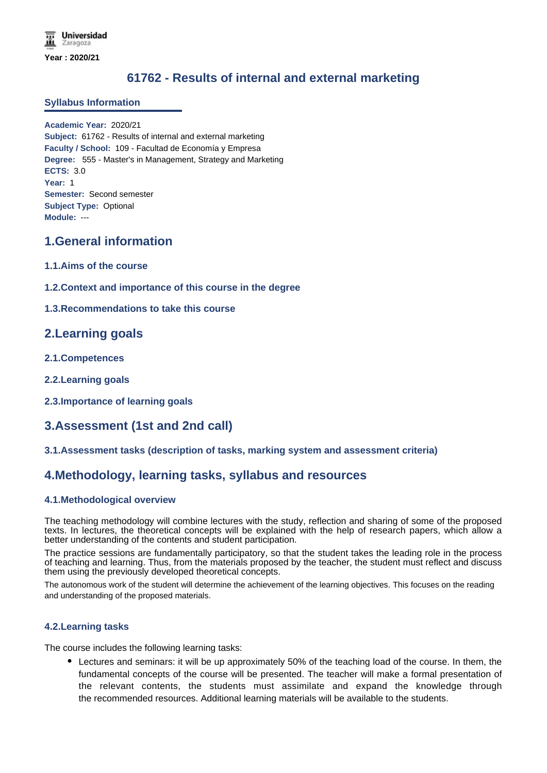# **61762 - Results of internal and external marketing**

## **Syllabus Information**

**Academic Year:** 2020/21 **Subject:** 61762 - Results of internal and external marketing **Faculty / School:** 109 - Facultad de Economía y Empresa **Degree:** 555 - Master's in Management, Strategy and Marketing **ECTS:** 3.0 **Year:** 1 **Semester:** Second semester **Subject Type:** Optional **Module:** ---

## **1.General information**

- **1.1.Aims of the course**
- **1.2.Context and importance of this course in the degree**

## **1.3.Recommendations to take this course**

## **2.Learning goals**

- **2.1.Competences**
- **2.2.Learning goals**
- **2.3.Importance of learning goals**

## **3.Assessment (1st and 2nd call)**

## **3.1.Assessment tasks (description of tasks, marking system and assessment criteria)**

## **4.Methodology, learning tasks, syllabus and resources**

## **4.1.Methodological overview**

The teaching methodology will combine lectures with the study, reflection and sharing of some of the proposed texts. In lectures, the theoretical concepts will be explained with the help of research papers, which allow a better understanding of the contents and student participation.

The practice sessions are fundamentally participatory, so that the student takes the leading role in the process of teaching and learning. Thus, from the materials proposed by the teacher, the student must reflect and discuss them using the previously developed theoretical concepts.

The autonomous work of the student will determine the achievement of the learning objectives. This focuses on the reading and understanding of the proposed materials.

#### **4.2.Learning tasks**

The course includes the following learning tasks:

Lectures and seminars: it will be up approximately 50% of the teaching load of the course. In them, the fundamental concepts of the course will be presented. The teacher will make a formal presentation of the relevant contents, the students must assimilate and expand the knowledge through the recommended resources. Additional learning materials will be available to the students.